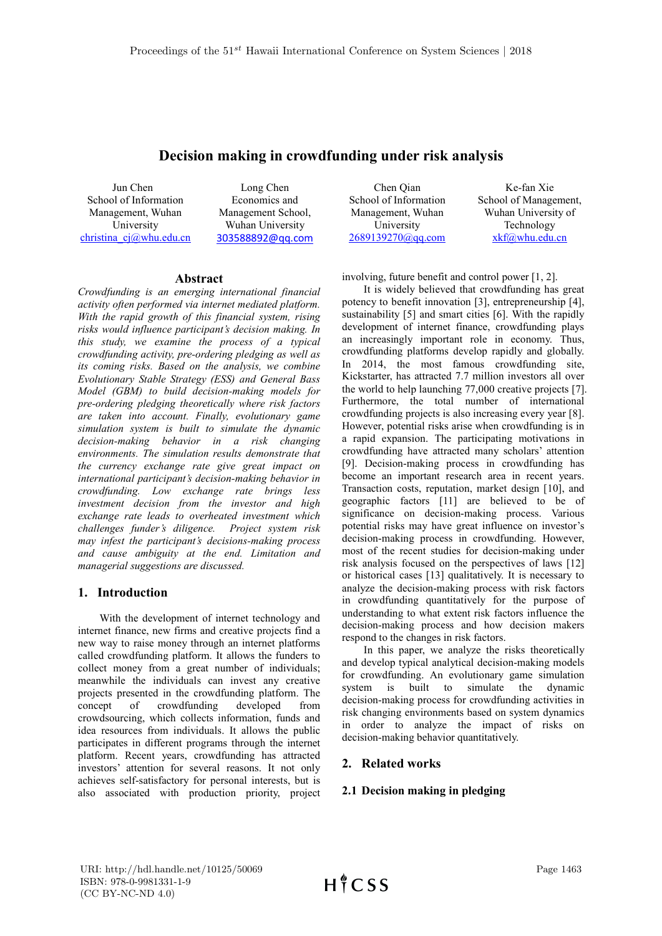# **Decision making in crowdfunding under risk analysis**

Jun Chen School of Information Management, Wuhan University christina  $c_j(a)$ whu.edu.cn

Long Chen Economics and Management School, Wuhan University 303588892@qq.com

### **Abstract**

*Crowdfunding is an emerging international financial activity often performed via internet mediated platform. With the rapid growth of this financial system, rising risks would influence participant's decision making. In this study, we examine the process of a typical crowdfunding activity, pre-ordering pledging as well as its coming risks. Based on the analysis, we combine Evolutionary Stable Strategy (ESS) and General Bass Model (GBM) to build decision-making models for pre-ordering pledging theoretically where risk factors are taken into account. Finally, evolutionary game simulation system is built to simulate the dynamic decision-making behavior in a risk changing environments. The simulation results demonstrate that the currency exchange rate give great impact on international participant's decision-making behavior in crowdfunding. Low exchange rate brings less investment decision from the investor and high exchange rate leads to overheated investment which challenges funder's diligence. Project system risk may infest the participant's decisions-making process and cause ambiguity at the end. Limitation and managerial suggestions are discussed.* 

# **1. Introduction**

With the development of internet technology and internet finance, new firms and creative projects find a new way to raise money through an internet platforms called crowdfunding platform. It allows the funders to collect money from a great number of individuals; meanwhile the individuals can invest any creative projects presented in the crowdfunding platform. The concept of crowdfunding developed from crowdsourcing, which collects information, funds and idea resources from individuals. It allows the public participates in different programs through the internet platform. Recent years, crowdfunding has attracted investors' attention for several reasons. It not only achieves self-satisfactory for personal interests, but is also associated with production priority, project

Chen Qian School of Information Management, Wuhan University 2689139270@qq.com

Ke-fan Xie School of Management, Wuhan University of Technology xkf@whu.edu.cn

involving, future benefit and control power [1, 2].

It is widely believed that crowdfunding has great potency to benefit innovation [3], entrepreneurship [4], sustainability [5] and smart cities [6]. With the rapidly development of internet finance, crowdfunding plays an increasingly important role in economy. Thus, crowdfunding platforms develop rapidly and globally. In 2014, the most famous crowdfunding site, Kickstarter, has attracted 7.7 million investors all over the world to help launching 77,000 creative projects [7]. Furthermore, the total number of international crowdfunding projects is also increasing every year [8]. However, potential risks arise when crowdfunding is in a rapid expansion. The participating motivations in crowdfunding have attracted many scholars' attention [9]. Decision-making process in crowdfunding has become an important research area in recent years. Transaction costs, reputation, market design [10], and geographic factors [11] are believed to be of significance on decision-making process. Various potential risks may have great influence on investor's decision-making process in crowdfunding. However, most of the recent studies for decision-making under risk analysis focused on the perspectives of laws [12] or historical cases [13] qualitatively. It is necessary to analyze the decision-making process with risk factors in crowdfunding quantitatively for the purpose of understanding to what extent risk factors influence the decision-making process and how decision makers respond to the changes in risk factors.

In this paper, we analyze the risks theoretically and develop typical analytical decision-making models for crowdfunding. An evolutionary game simulation system is built to simulate the dynamic decision-making process for crowdfunding activities in risk changing environments based on system dynamics in order to analyze the impact of risks on decision-making behavior quantitatively.

# **2. Related works**

# **2.1 Decision making in pledging**

URI: http://hdl.handle.net/10125/50069 ISBN: 978-0-9981331-1-9 (CC BY-NC-ND 4.0)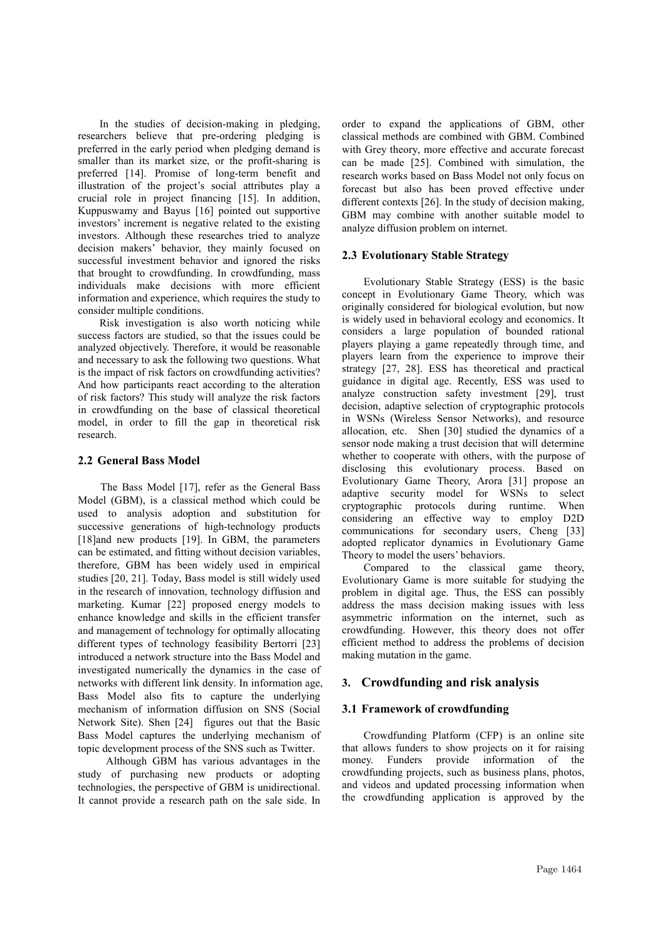In the studies of decision-making in pledging, researchers believe that pre-ordering pledging is preferred in the early period when pledging demand is smaller than its market size, or the profit-sharing is preferred [14]. Promise of long-term benefit and illustration of the project's social attributes play a crucial role in project financing [15]. In addition, Kuppuswamy and Bayus [16] pointed out supportive investors' increment is negative related to the existing investors. Although these researches tried to analyze decision makers' behavior, they mainly focused on successful investment behavior and ignored the risks that brought to crowdfunding. In crowdfunding, mass individuals make decisions with more efficient information and experience, which requires the study to consider multiple conditions.

Risk investigation is also worth noticing while success factors are studied, so that the issues could be analyzed objectively. Therefore, it would be reasonable and necessary to ask the following two questions. What is the impact of risk factors on crowdfunding activities? And how participants react according to the alteration of risk factors? This study will analyze the risk factors in crowdfunding on the base of classical theoretical model, in order to fill the gap in theoretical risk research.

### **2.2 General Bass Model**

The Bass Model [17], refer as the General Bass Model (GBM), is a classical method which could be used to analysis adoption and substitution for successive generations of high-technology products [18]and new products [19]. In GBM, the parameters can be estimated, and fitting without decision variables, therefore, GBM has been widely used in empirical studies [20, 21]. Today, Bass model is still widely used in the research of innovation, technology diffusion and marketing. Kumar [22] proposed energy models to enhance knowledge and skills in the efficient transfer and management of technology for optimally allocating different types of technology feasibility Bertorri [23] introduced a network structure into the Bass Model and investigated numerically the dynamics in the case of networks with different link density. In information age, Bass Model also fits to capture the underlying mechanism of information diffusion on SNS (Social Network Site). Shen [24] figures out that the Basic Bass Model captures the underlying mechanism of topic development process of the SNS such as Twitter.

Although GBM has various advantages in the study of purchasing new products or adopting technologies, the perspective of GBM is unidirectional. It cannot provide a research path on the sale side. In order to expand the applications of GBM, other classical methods are combined with GBM. Combined with Grey theory, more effective and accurate forecast can be made [25]. Combined with simulation, the research works based on Bass Model not only focus on forecast but also has been proved effective under different contexts [26]. In the study of decision making, GBM may combine with another suitable model to analyze diffusion problem on internet.

# **2.3 Evolutionary Stable Strategy**

Evolutionary Stable Strategy (ESS) is the basic concept in Evolutionary Game Theory, which was originally considered for biological evolution, but now is widely used in behavioral ecology and economics. It considers a large population of bounded rational players playing a game repeatedly through time, and players learn from the experience to improve their strategy [27, 28]. ESS has theoretical and practical guidance in digital age. Recently, ESS was used to analyze construction safety investment [29], trust decision, adaptive selection of cryptographic protocols in WSNs (Wireless Sensor Networks), and resource allocation, etc. Shen [30] studied the dynamics of a sensor node making a trust decision that will determine whether to cooperate with others, with the purpose of disclosing this evolutionary process. Based on Evolutionary Game Theory, Arora [31] propose an adaptive security model for WSNs to select cryptographic protocols during runtime. When considering an effective way to employ D2D communications for secondary users, Cheng [33] adopted replicator dynamics in Evolutionary Game Theory to model the users' behaviors.

Compared to the classical game theory, Evolutionary Game is more suitable for studying the problem in digital age. Thus, the ESS can possibly address the mass decision making issues with less asymmetric information on the internet, such as crowdfunding. However, this theory does not offer efficient method to address the problems of decision making mutation in the game.

# **3. Crowdfunding and risk analysis**

# **3.1 Framework of crowdfunding**

Crowdfunding Platform (CFP) is an online site that allows funders to show projects on it for raising money. Funders provide information of the crowdfunding projects, such as business plans, photos, and videos and updated processing information when the crowdfunding application is approved by the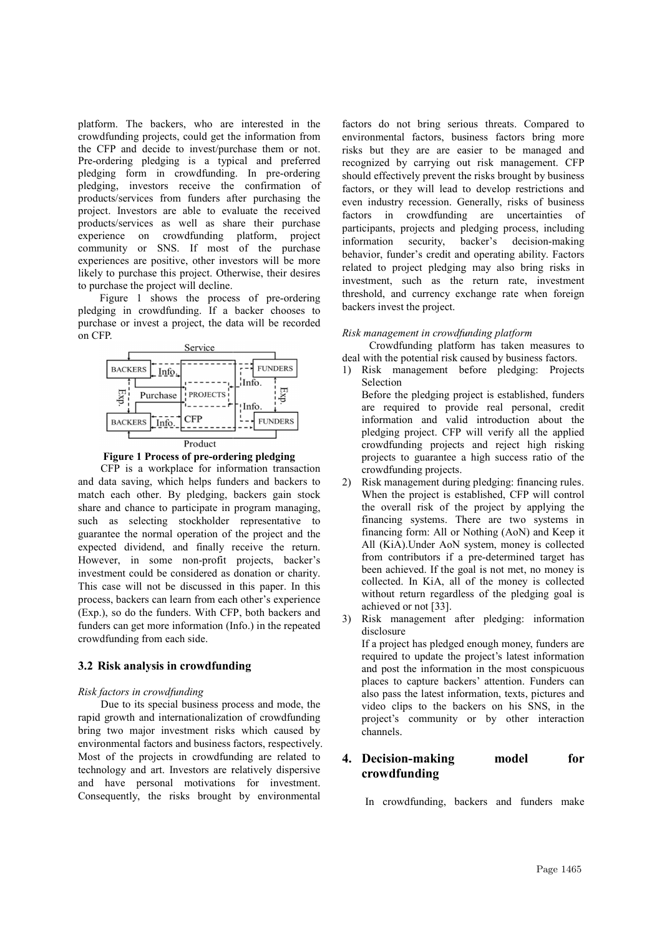platform. The backers, who are interested in the crowdfunding projects, could get the information from the CFP and decide to invest/purchase them or not. Pre-ordering pledging is a typical and preferred Pre-ordering pledging is a typical and preferred<br>pledging form in crowdfunding. In pre-ordering pledging, investors receive the confirmation of products/services from funders after purchasing the project. Investors are able to evaluate the received products/services as well as share their purchase experience on crowdfunding platform, project community or SNS. If most of the purchase experiences are positive, other investors will be more likely to purchase this project. Otherwise, their desires to purchase the project will decline. rience on crowdfunding platform, project<br>nunity or SNS. If most of the purchase<br>riences are positive, other investors will be more<br>y to purchase this project. Otherwise, their desires<br>rchase the project will decline.<br>Figur

pledging in crowdfunding. If a backer chooses to purchase or invest a project, the data will be recorded on CFP.





CFP is a workplace for information transaction and data saving, which helps funders and backers to match each other. By pledging, backers gain stock share and chance to participate in program managing, such as selecting stockholder representative to guarantee the normal operation of the project and the expected dividend, and finally receive the return. However, in some non-profit projects, backer's investment could be considered as donation or charity. This case will not be discussed in this paper. In this process, backers can learn from each other's experience (Exp.), so do the funders. With CFP, both backers and funders can get more information (Info.) in the repeated crowdfunding from each side.

# **3.2 Risk analysis in crowdfunding**

### *Risk factors in crowdfunding*

Due to its special business process and mode, the rapid growth and internationalization of crowdfunding bring two major investment risks which caused by environmental factors and business factors, respectively. Most of the projects in crowdfunding are related to technology and art. Investors are relatively dispersive and have personal motivations for investment. Consequently, the risks brought by environmental both backers and<br>s can get more information (Info.) in the repeated<br>funding from each side.<br>**isk analysis in crowdfunding**<br>*actors in crowdfunding*<br>*pue to its special business process and mode, the*<br>growth and internation

factors do not bring serious threats. Compared to environmental factors, business factors bring more risks but they are are easier to be managed and recognized by carrying out risk management. CFP should effectively prevent the risks brought by business should effectively prevent the risks brought by business factors, or they will lead to develop restrictions and even industry recession. Generally, risks of business factors in crowdfunding are uncertainties of participants, projects and pledging process, including information security, backer's behavior, funder's credit and operating ability. Factors related to project pledging may also bring risks in investment, such as the return rate, investment threshold, and currency exchange rate when foreign backers invest the project. decision-making

### *Risk management in crowdfunding platform*

 Crowdfunding platform has taken measures to deal with the potential risk caused by business factors.

1) Risk management before pledging: Projects Selection funding platform has taken measures<br>potential risk caused by business factors<br>anagement before pledging: Proje<br>lequely project is established, fund

Before the pledging project is established, funders are required to provide real personal, credit information and valid introduction about the pledging project. CFP will verify all the applied crowdfunding projects and reject high risking<br>projects to guarantee a high success ratio of the projects to guarantee a high success ratio of crowdfunding projects.

- 2) Risk management during pledging: financing rules. When the project is established, CFP will control the overall risk of the project by applying the financing systems. There are two systems in financing form: All or Nothing (AoN) and Keep it All (KiA). Under AoN system, money is collected from contributors if a pre-determined target has been achieved. If the goal is not met, no money is collected. In KiA, all of the money is collected without return regardless of the pledging goal is achieved or not [33]. of the project by applying the<br>is. There are two systems in<br>Ill or Nothing (AoN) and Keep it<br>AoN system, money is collected 1. In KiA, all of the money is collected<br>return regardless of the pledging goal is<br>l or not [33].<br>anagement after pledging: information<br>re<br>ect has pledged enough money, funders are
- 3) Risk management after pledging: information disclosure

If a project has pledged enough money, funders are required to update the project's latest information and post the information in the most conspicuous places to capture backers' attention. Funders can also pass the latest information, texts, pictures and video clips to the backers on his SNS, in the project's community or by other interaction channels. t's latest<br>he most<br>tention. l<br>on, texts,<br>on his S

#### **4. Decision-making crowdfunding model for**

In crowdfunding, backers and funders make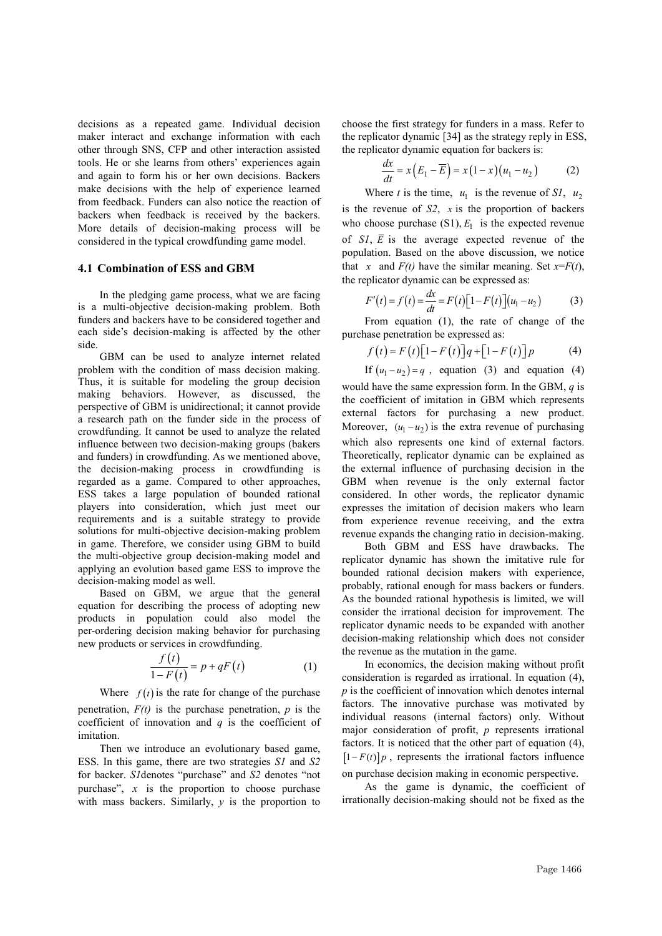decisions as a repeated game. Individual decision maker interact and exchange information with each other through SNS, CFP and other interaction assisted tools. He or she learns from others' experiences again and again to form his or her own decisions. Backers make decisions with the help of experience learned from feedback. Funders can also notice the reaction of backers when feedback is received by the backers. More details of decision-making process will be considered in the typical crowdfunding game model.

### **4.1 Combination of ESS and GBM**

In the pledging game process, what we are facing is a multi-objective decision-making problem. Both funders and backers have to be considered together and each side's decision-making is affected by the other side.

GBM can be used to analyze internet related problem with the condition of mass decision making. Thus, it is suitable for modeling the group decision making behaviors. However, as discussed, the perspective of GBM is unidirectional; it cannot provide a research path on the funder side in the process of crowdfunding. It cannot be used to analyze the related influence between two decision-making groups (bakers and funders) in crowdfunding. As we mentioned above, the decision-making process in crowdfunding is regarded as a game. Compared to other approaches, ESS takes a large population of bounded rational players into consideration, which just meet our requirements and is a suitable strategy to provide solutions for multi-objective decision-making problem in game. Therefore, we consider using GBM to build the multi-objective group decision-making model and applying an evolution based game ESS to improve the decision-making model as well.

Based on GBM, we argue that the general equation for describing the process of adopting new products in population could also model the per-ordering decision making behavior for purchasing new products or services in crowdfunding.

$$
\frac{f(t)}{1 - F(t)} = p + qF(t) \tag{1}
$$

Where  $f(t)$  is the rate for change of the purchase penetration,  $F(t)$  is the purchase penetration,  $p$  is the

coefficient of innovation and *q* is the coefficient of imitation.

Then we introduce an evolutionary based game, ESS. In this game, there are two strategies *S1* and *S2* for backer. *S1*denotes "purchase" and *S2* denotes "not purchase",  $x$  is the proportion to choose purchase with mass backers. Similarly, *y* is the proportion to choose the first strategy for funders in a mass. Refer to the replicator dynamic [34] as the strategy reply in ESS, the replicator dynamic equation for backers is:

$$
\frac{dx}{dt} = x\left(E_1 - \overline{E}\right) = x\left(1 - x\right)\left(u_1 - u_2\right) \tag{2}
$$

Where *t* is the time,  $u_1$  is the revenue of *S1*,  $u_2$ is the revenue of *S2*, *x* is the proportion of backers who choose purchase  $(S1)$ ,  $E_1$  is the expected revenue of  $SI$ ,  $\overline{E}$  is the average expected revenue of the population. Based on the above discussion, we notice that *x* and  $F(t)$  have the similar meaning. Set  $x = F(t)$ , the replicator dynamic can be expressed as:

$$
F'(t) = f(t) = \frac{dx}{dt} = F(t)[1 - F(t)](u_1 - u_2)
$$
 (3)

From equation (1), the rate of change of the purchase penetration be expressed as:

$$
f(t) = F(t)[1 - F(t)]q + [1 - F(t)]p \tag{4}
$$

If  $(u_1 - u_2) = q$ , equation (3) and equation (4) would have the same expression form. In the GBM, *q* is the coefficient of imitation in GBM which represents external factors for purchasing a new product. Moreover,  $(u_1 - u_2)$  is the extra revenue of purchasing which also represents one kind of external factors. Theoretically, replicator dynamic can be explained as the external influence of purchasing decision in the GBM when revenue is the only external factor considered. In other words, the replicator dynamic expresses the imitation of decision makers who learn

revenue expands the changing ratio in decision-making. Both GBM and ESS have drawbacks. The replicator dynamic has shown the imitative rule for bounded rational decision makers with experience, probably, rational enough for mass backers or funders. As the bounded rational hypothesis is limited, we will consider the irrational decision for improvement. The replicator dynamic needs to be expanded with another decision-making relationship which does not consider the revenue as the mutation in the game.

from experience revenue receiving, and the extra

In economics, the decision making without profit consideration is regarded as irrational. In equation (4), *p* is the coefficient of innovation which denotes internal factors. The innovative purchase was motivated by individual reasons (internal factors) only. Without major consideration of profit, *p* represents irrational factors. It is noticed that the other part of equation (4),  $[1 - F(t)]p$ , represents the irrational factors influence on purchase decision making in economic perspective.

As the game is dynamic, the coefficient of irrationally decision-making should not be fixed as the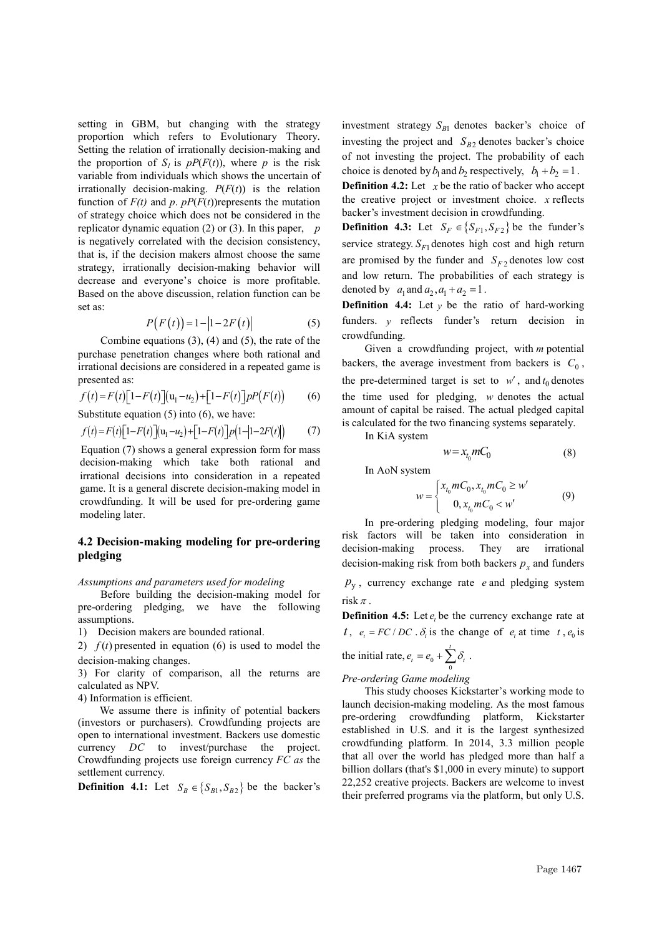setting in GBM, but changing with the strategy proportion which refers to Evolutionary Theory. Setting the relation of irrationally decision-making and the proportion of  $S_l$  is  $pP(F(t))$ , where *p* is the risk variable from individuals which shows the uncertain of irrationally decision-making.  $P(F(t))$  is the relation function of  $F(t)$  and *p. pP*( $F(t)$ )represents the mutation of strategy choice which does not be considered in the replicator dynamic equation (2) or (3). In this paper, *p* is negatively correlated with the decision consistency, that is, if the decision makers almost choose the same strategy, irrationally decision-making behavior will decrease and everyone's choice is more profitable. Based on the above discussion, relation function can be set as:

$$
P(F(t)) = 1 - |1 - 2F(t)| \tag{5}
$$

Combine equations (3), (4) and (5), the rate of the purchase penetration changes where both rational and irrational decisions are considered in a repeated game is presented as:

$$
f(t) = F(t)\left[1 - F(t)\right](u_1 - u_2) + \left[1 - F(t)\right]pP\left(F(t)\right) \tag{6}
$$

Substitute equation  $(5)$  into  $(6)$ , we have:

$$
f(t) = F(t)[1 - F(t)](u_1 - u_2) + [1 - F(t)]p(1 - |1 - 2F(t)|)
$$
 (7)

 Equation (7) shows a general expression form for mass decision-making which take both rational and irrational decisions into consideration in a repeated game. It is a general discrete decision-making model in crowdfunding. It will be used for pre-ordering game modeling later.

# **4.2 Decision-making modeling for pre-ordering pledging**

*Assumptions and parameters used for modeling*

Before building the decision-making model for pre-ordering pledging, we have the following assumptions.

1) Decision makers are bounded rational.

2)  $f(t)$  presented in equation (6) is used to model the decision-making changes.

3) For clarity of comparison, all the returns are calculated as NPV.

4) Information is efficient.

 We assume there is infinity of potential backers (investors or purchasers). Crowdfunding projects are open to international investment. Backers use domestic currency *DC* to invest/purchase the project. Crowdfunding projects use foreign currency *FC as* the settlement currency.

**Definition 4.1:** Let  $S_B \in \{S_{B1}, S_{B2}\}\$ be the backer's

investment strategy  $S_{B1}$  denotes backer's choice of investing the project and  $S_{B2}$  denotes backer's choice of not investing the project. The probability of each choice is denoted by  $b_1$  and  $b_2$  respectively,  $b_1 + b_2 = 1$ .

**Definition 4.2:** Let *x* be the ratio of backer who accept the creative project or investment choice.  $x$  reflects backer's investment decision in crowdfunding.

**Definition 4.3:** Let  $S_F \in \{S_{F1}, S_{F2}\}$  be the funder's service strategy.  $S_{F1}$  denotes high cost and high return are promised by the funder and  $S_{F2}$  denotes low cost and low return. The probabilities of each strategy is denoted by  $a_1$  and  $a_2$ ,  $a_1 + a_2 = 1$ .

**Definition 4.4:** Let  $y$  be the ratio of hard-working funders. *y* reflects funder's return decision in crowdfunding.

Given a crowdfunding project, with *m* potential backers, the average investment from backers is  $C_0$ , the pre-determined target is set to  $w'$ , and  $t_0$  denotes the time used for pledging, *w* denotes the actual amount of capital be raised. The actual pledged capital is calculated for the two financing systems separately.

In KiA system

$$
w = x_{t_0} m C_0 \tag{8}
$$

In AoN system

$$
w = \begin{cases} x_{t_0} m C_0, x_{t_0} m C_0 \ge w' \\ 0, x_{t_0} m C_0 < w' \end{cases} \tag{9}
$$

In pre-ordering pledging modeling, four major risk factors will be taken into consideration in decision-making process. They are irrational decision-making risk from both backers  $p<sub>x</sub>$  and funders

 $p_{v}$ , currency exchange rate *e* and pledging system risk  $\pi$ .

**Definition 4.5:** Let  $e_t$ , be the currency exchange rate at  $t$ ,  $e_t = FC / DC$ .  $\delta_t$  is the change of  $e_t$  at time  $t$ ,  $e_0$  is *t*

the initial rate, 
$$
e_t = e_0 + \sum_{i=0}^{t} \delta_t
$$
.

*Pre-ordering Game modeling*

This study chooses Kickstarter's working mode to launch decision-making modeling. As the most famous pre-ordering crowdfunding platform, Kickstarter established in U.S. and it is the largest synthesized crowdfunding platform. In 2014, 3.3 million people that all over the world has pledged more than half a billion dollars (that's \$1,000 in every minute) to support 22,252 creative projects. Backers are welcome to invest their preferred programs via the platform, but only U.S.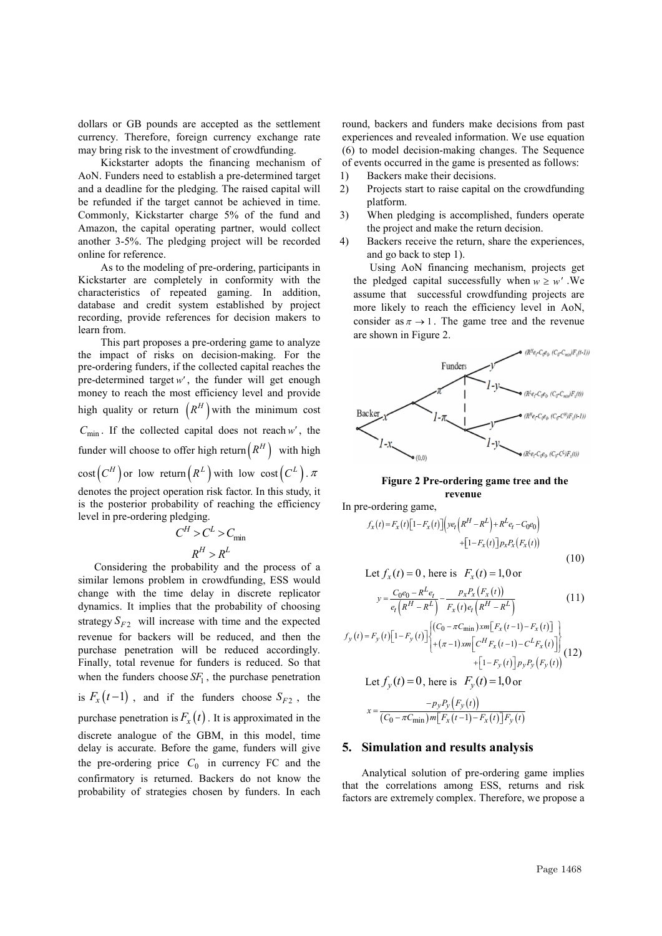dollars or GB pounds are accepted as the settlement currency. Therefore, foreign currency exchange rate may bring risk to the investment of crowdfunding.

Kickstarter adopts the financing mechanism of AoN. Funders need to establish a pre-determined target and a deadline for the pledging. The raised capital will be refunded if the target cannot be achieved in time. Commonly, Kickstarter charge 5% of the fund and Amazon, the capital operating partner, would collect another 3-5%. The pledging project will be recorded online for reference.

As to the modeling of pre-ordering, participants in Kickstarter are completely in conformity with the characteristics of repeated gaming. In addition, database and credit system established by project recording, provide references for decision makers to learn from. 5%. The pledging project will be recorded<br>reference.<br>the modeling of pre-ordering, participants in<br>r are completely in conformity with the<br>titics of repeated gaming. In addition,<br>and credit system established by project

This part proposes a pre-ordering game to analyze This part proposes a pre-ordering game to analyze the impact of risks on decision-making. For the pre-ordering funders, if the collected capital reaches the pre-determined target  $w'$ , the funder will get enough money to reach the most efficiency level and provide high quality or return  $(R^H)$  with the minimum cost  $C_{\text{min}}$ . If the collected capital does not reach  $w'$ , the funder will choose to offer high return $(R^H)$  with high  $\text{cost}(C^H)$  or low return  $(R^L)$  with low  $\text{cost}(C^L)$ .  $\pi$ denotes the project operation risk factor. In this study, it is the posterior probability of reaching the efficiency level in pre-ordering pledging.

$$
C^H > C^L > C_{\min}
$$

$$
R^H > R^L
$$

Considering the probability and the process of a similar lemons problem in crowdfunding, ESS would change with the time delay in discrete replicator dynamics. It implies that the probability of choosing strategy  $S_{F2}$  will increase with time and the expected revenue for backers will be reduced, and then the purchase penetration will be reduced accordingly. Finally, total revenue for funders is reduced. So that when the funders choose  $SF<sub>1</sub>$ , the purchase penetration is  $F_x(t-1)$ , and if the funders choose  $S_{F2}$ , the purchase penetration is  $F_x(t)$ . It is approximated in the discrete analogue of the GBM, in this model, time discrete analogue of the GBM, in this model, time<br>delay is accurate. Before the game, funders will give the pre-ordering price  $C_0$  in currency FC and the confirmatory is returned. Backers do not know the probability of strategies chosen by funders. In each round, backers and funders make decisions from past experiences and revealed information. We use equation (6) to model decision-making changes. The Sequence of events occurred in the game is presented as follows:

- 1) Backers make their decisions.
- 2) Projects start to raise capital on the crowdfunding platform.
- 3) When pledging is accomplished, funders operate the project and make the return decision.
- 4) Backers receive the return, share the experiences, and go back to step 1).

Using AoN financing mechanism, projects get the pledged capital successfully when  $w \geq w'$ . We assume that successful crowdfunding projects are more likely to reach the efficiency level in AoN, consider as  $\pi \rightarrow 1$ . The game tree and the revenue are shown in Figure 2.



### **Figure 2 Pre-ordering game tree and the revenue evenue**

In pre-ordering game,

$$
f_x(t) = F_x(t)[1 - F_x(t)] \Big( y e_t \Big( R^H - R^L \Big) + R^L e_t - C_0 e_0 \Big) + [1 - F_x(t)] p_x P_x \big( F_x(t) \big)
$$
\n(10)

Let 
$$
f_x(t) = 0
$$
, here is  $F_x(t) = 1,0$  or

$$
y = \frac{C_0 e_0 - R^L e_t}{e_t \left(R^H - R^L\right)} - \frac{p_x P_x \left(F_x(t)\right)}{F_x(t) e_t \left(R^H - R^L\right)}
$$
(11)

$$
f_{y}(t) = F_{y}(t)[1 - F_{y}(t)]\begin{cases} [C_{0} - \pi C_{\min}) \, xm[F_{x}(t-1) - F_{x}(t)] \\ + (\pi - 1) \, xm[C^{H}F_{x}(t-1) - C^{L}F_{x}(t)] \end{cases} + [1 - F_{y}(t)] \, p_{y} P_{y}(F_{y}(t))
$$
  
Let  $f_{y}(t) = 0$ , here is  $F_{y}(t) = 1, 0$  or  

$$
x = \frac{-p_{y} P_{y}(F_{y}(t))}{(C_{0} - \pi C_{\min}) m[F_{x}(t-1) - F_{x}(t)] F_{y}(t)}
$$

# **5. Simulation and results analysis results**

Analytical solution of pre-ordering game implies that the correlations among ESS, returns and risk that the correlations among ESS, returns and risk factors are extremely complex. Therefore, we propose a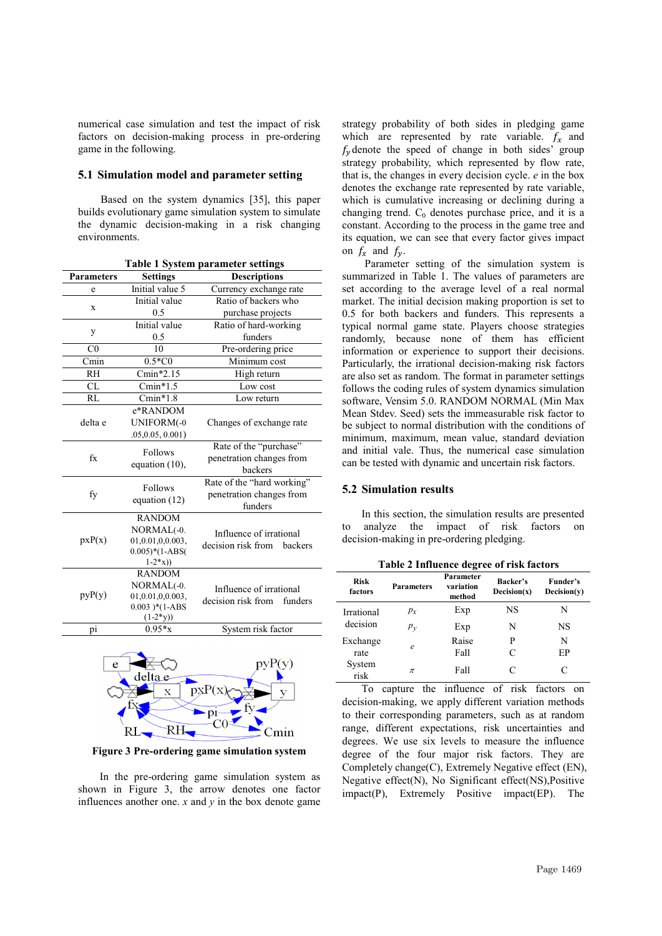### **5.1 Simulation model and parameter setting Simulation**

|                   |                                              | numerical case simulation and test the impact of risk<br>factors on decision-making process in pre-ordering |                                                                                                                                | strategy probability of both sides in                                               |           |        |  |
|-------------------|----------------------------------------------|-------------------------------------------------------------------------------------------------------------|--------------------------------------------------------------------------------------------------------------------------------|-------------------------------------------------------------------------------------|-----------|--------|--|
|                   | game in the following.                       |                                                                                                             | which are represented by rate va<br>$f_{v}$ denote the speed of change in bo                                                   |                                                                                     |           |        |  |
|                   |                                              | 5.1 Simulation model and parameter setting                                                                  |                                                                                                                                | strategy probability, which represente<br>that is, the changes in every decision cy |           |        |  |
|                   |                                              | Based on the system dynamics [35], this paper                                                               |                                                                                                                                | denotes the exchange rate represented                                               |           |        |  |
|                   |                                              | builds evolutionary game simulation system to simulate                                                      | which is cumulative increasing or dee<br>changing trend. C <sub>0</sub> denotes purchase p                                     |                                                                                     |           |        |  |
|                   |                                              | the dynamic decision-making in a risk changing                                                              | constant. According to the process in th                                                                                       |                                                                                     |           |        |  |
| environments.     |                                              |                                                                                                             | on $f_x$ and $f_y$ .                                                                                                           | its equation, we can see that every fact                                            |           |        |  |
|                   |                                              | Table 1 System parameter settings                                                                           |                                                                                                                                | Parameter setting of the simula                                                     |           |        |  |
| <b>Parameters</b> | <b>Settings</b>                              | <b>Descriptions</b>                                                                                         |                                                                                                                                | summarized in Table 1. The values of                                                |           |        |  |
| e                 | Initial value 5                              | Currency exchange rate                                                                                      |                                                                                                                                | set according to the average level of                                               |           |        |  |
| X                 | Initial value                                | Ratio of backers who                                                                                        | market. The initial decision making pro                                                                                        |                                                                                     |           |        |  |
|                   | 0.5                                          | purchase projects                                                                                           | 0.5 for both backers and funders. Tl                                                                                           |                                                                                     |           |        |  |
| y                 | Initial value                                | Ratio of hard-working                                                                                       | typical normal game state. Players cl                                                                                          |                                                                                     |           |        |  |
|                   | 0.5                                          | funders                                                                                                     | randomly, because none of them                                                                                                 |                                                                                     |           |        |  |
| C0                | 10                                           | Pre-ordering price                                                                                          | information or experience to support                                                                                           |                                                                                     |           |        |  |
| Cmin              | $0.5*CO$                                     | Minimum cost                                                                                                | Particularly, the irrational decision-mal                                                                                      |                                                                                     |           |        |  |
| <b>RH</b>         | Cmin*2.15                                    | High return                                                                                                 | are also set as random. The format in pa                                                                                       |                                                                                     |           |        |  |
| CL                | $Cmin*1.5$                                   | Low cost                                                                                                    | follows the coding rules of system dyna                                                                                        |                                                                                     |           |        |  |
| RL                | $Cmin*1.8$                                   | Low return                                                                                                  |                                                                                                                                | software, Vensim 5.0. RANDOM NOR                                                    |           |        |  |
| delta e           | e*RANDOM                                     |                                                                                                             |                                                                                                                                | Mean Stdev. Seed) sets the immeasural                                               |           |        |  |
|                   | UNIFORM(-0                                   | Changes of exchange rate                                                                                    |                                                                                                                                | be subject to normal distribution with t                                            |           |        |  |
| fx                | .05, 0.05, 0.001)<br>Follows                 | Rate of the "purchase"<br>penetration changes from                                                          | minimum, maximum, mean value, sta<br>and initial vale. Thus, the numerical<br>can be tested with dynamic and uncertar          |                                                                                     |           |        |  |
|                   | equation (10),                               | backers                                                                                                     |                                                                                                                                |                                                                                     |           |        |  |
| fy                |                                              | Rate of the "hard working"                                                                                  |                                                                                                                                |                                                                                     |           |        |  |
|                   | Follows                                      | penetration changes from                                                                                    |                                                                                                                                | <b>5.2 Simulation results</b>                                                       |           |        |  |
|                   | equation (12)                                | funders                                                                                                     |                                                                                                                                |                                                                                     |           |        |  |
|                   | <b>RANDOM</b>                                |                                                                                                             | In this section, the simulation resu<br>of<br>analyze<br>the<br>impact<br>ris<br>to<br>decision-making in pre-ordering pledgin |                                                                                     |           |        |  |
|                   | NORMAL(-0.                                   | Influence of irrational                                                                                     |                                                                                                                                |                                                                                     |           |        |  |
| pxP(x)            | 01,0.01,0,0.003,                             | decision risk from backers                                                                                  |                                                                                                                                |                                                                                     |           |        |  |
|                   | $0.005$ <sup>*</sup> $(1-ABS($<br>$1-2*x)$   |                                                                                                             |                                                                                                                                |                                                                                     |           |        |  |
|                   | <b>RANDOM</b>                                |                                                                                                             |                                                                                                                                | Table 2 Influence degree of ri                                                      | Parameter |        |  |
| pyP(y)            | NORMAL(-0.                                   | Influence of irrational                                                                                     | <b>Risk</b>                                                                                                                    | <b>Parameters</b>                                                                   | variation | Back   |  |
|                   | 01, 0.01, 0.003,                             | decision risk from<br>funders                                                                               | factors                                                                                                                        |                                                                                     | method    | Decisi |  |
|                   | $0.003$ )*(1-ABS                             |                                                                                                             | Irrational                                                                                                                     | $p_x$                                                                               | Exp       | N      |  |
|                   | $(1-2*y)$                                    |                                                                                                             | decision                                                                                                                       | $p_y$                                                                               | Exp       | Ŋ      |  |
| pi                | $0.95*_{X}$                                  | System risk factor                                                                                          |                                                                                                                                |                                                                                     | Raise     |        |  |
|                   |                                              |                                                                                                             | Exchange<br>rate                                                                                                               | $\boldsymbol{e}$                                                                    | Fall      |        |  |
| e                 |                                              | pyP(y)                                                                                                      | System                                                                                                                         |                                                                                     |           |        |  |
|                   | deltae                                       |                                                                                                             | risk                                                                                                                           | $\pi$                                                                               | Fall      |        |  |
|                   | $\mathbf X$                                  | $p_{\rm X}P(x)$                                                                                             |                                                                                                                                | To capture the influence of r                                                       |           |        |  |
|                   |                                              |                                                                                                             |                                                                                                                                |                                                                                     |           |        |  |
|                   |                                              | $\nightharpoonup$ p <sub>1</sub>                                                                            | decision-making, we apply different va<br>to their corresponding parameters, suc                                               |                                                                                     |           |        |  |
|                   | <b>RH</b>                                    | CO                                                                                                          |                                                                                                                                | range, different expectations, risk un                                              |           |        |  |
|                   | RL                                           | Cmin                                                                                                        |                                                                                                                                |                                                                                     |           |        |  |
|                   | Figure 3 Pre-ordering game simulation system | degrees. We use six levels to measure<br>degree of the four major risk fac                                  |                                                                                                                                |                                                                                     |           |        |  |



**Figure 3 Pre-ordering game simulation system**

In the pre-ordering game simulation system as shown in Figure 3, the arrow denotes one factor influences another one. *x* and *y* in the box denote game which are represented by rate variable.  $f_x$  and  $f_{\nu}$  denote the speed of change in both sides' group  $f_y$  denote the speed of change in both sides' group strategy probability, which represented by flow rate, that is, the changes in every decision cycle. *e* in the box denotes the exchange rate represented by rate variable, which is cumulative increasing or declining during a changing trend.  $C_0$  denotes purchase price, and it is a which is cumulative increasing or declining during a changing trend.  $C_0$  denotes purchase price, and it is a constant. According to the process in the game tree and its equation, we can see that every factor gives impact on  $f_x$  and  $f_y$ . strategy probability of both sides in pledging game

Parameter setting of the simulation system is Parameter setting of the simulation system is summarized in Table 1. The values of parameters are set according to the average level of a real normal market. The initial decision making proportion is set to 0.5 for both backers and funders. This represents a typical normal game state. Players choose strategies randomly, because none of them has efficient information or experience to support their decisions. Particularly, the irrational decision-making risk factors are also set as random. The format in parameter settings follows the coding rules of system dynamics simulation are also set as random. The format in parameter settings follows the coding rules of system dynamics simulation<br>software, Vensim 5.0. RANDOM NORMAL (Min Max Mean Stdev. Seed) sets the immeasurable risk factor to be subject to normal distribution with the conditions of minimum, maximum, mean value, standard deviation and initial vale. Thus, the numerical case simulation can be tested with dynamic and uncertain risk factors. initial decision making proportion is set to<br>oth backers and funders. This represents a<br>rmal game state. Players choose strategies<br>because none of them has efficient<br>n or experience to support their decisions.<br>y, the irrat

### **5.2 Simulation results**

In this section, the simulation results are presented to analyze the impact of risk factors decision-making in pre-ordering pledging.

**Table 2 Influence degree of risk factors**

|                        |                   | -                                |                         |                         |
|------------------------|-------------------|----------------------------------|-------------------------|-------------------------|
| <b>Risk</b><br>factors | <b>Parameters</b> | Parameter<br>variation<br>method | Backer's<br>Decision(x) | Funder's<br>Decision(v) |
| Irrational             | $p_x$             | Exp                              | NS                      | N                       |
| decision               | $p_v$             | Exp                              | N                       | NS                      |
| Exchange<br>rate       | $\epsilon$        | Raise<br>Fall                    | P<br>C                  | N<br>EP                 |
| System<br>risk         | $\pi$             | Fall                             | C                       | C                       |

To capture the influence of risk factors on decision-making, we apply different variation methods decision-making, we apply different variation methods<br>to their corresponding parameters, such as at random range, different expectations, risk uncertainties and degrees. We use six levels to measure the influence degree of the four major risk factors factors. They are Completely change(C), Extremely Negative effect (EN), Negative effect(N), No Significant effect(NS), Positive impact(P), Extremely Positive impact(EP). The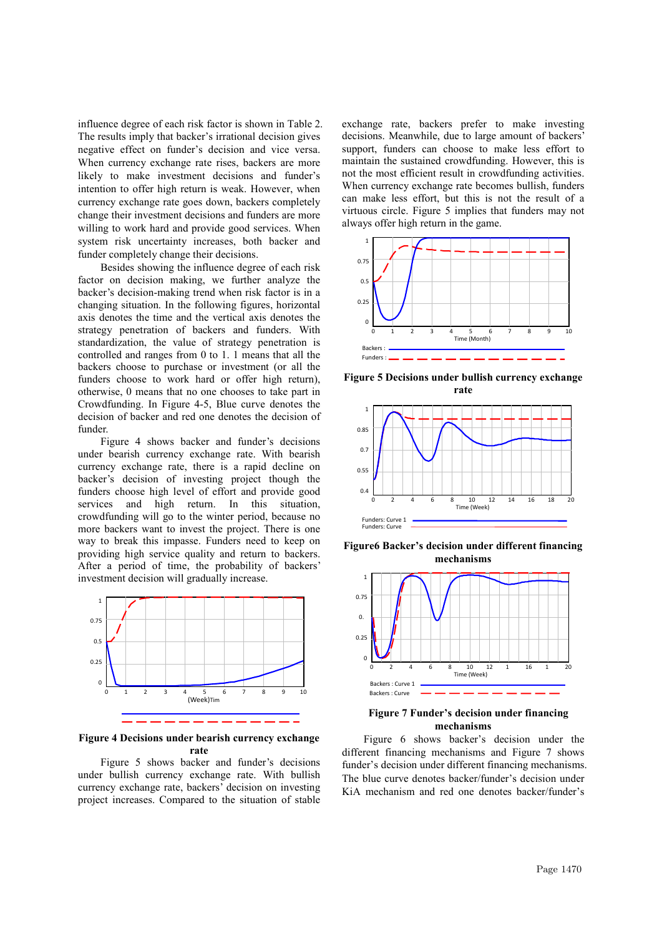influence degree of each risk factor is shown in Table 2. The results imply that backer's irrational decision gives negative effect on funder's decision and vice versa. When currency exchange rate rises, backers are more likely to make investment decisions and funder's intention to offer high return is weak. However, when currency exchange rate goes down, backers completely change their investment decisions and funders are more willing to work hard and provide good services. When system risk uncertainty increases, both backer and funder completely change their decisions.

Besides showing the influence degree of each risk factor on decision making, we further analyze the backer's decision-making trend when risk factor is in a changing situation. In the following figures, horizontal axis denotes the time and the vertical axis denotes the strategy penetration of backers and funders. With standardization, the value of strategy penetration is controlled and ranges from 0 to 1. 1 means that all the backers choose to purchase or investment (or all the funders choose to work hard or offer high return), otherwise, 0 means that no one chooses to take part in Crowdfunding. In Figure 4-5, Blue curve denotes the decision of backer and red one denotes the decision of funder.

Figure 4 shows backer and funder's decisions under bearish currency exchange rate. With bearish currency exchange rate, there is a rapid decline on backer's decision of investing project though the funders choose high level of effort and provide good services and high return. In this situation, crowdfunding will go to the winter period, because no more backers want to invest the project. There is one way to break this impasse. Funders need to keep on providing high service quality and return to backers. After a period of time, the probability of backers' investment decision will gradually increase.



**Figure 4 Decisions under bearish currency exchange rate**

Figure 5 shows backer and funder's decisions under bullish currency exchange rate. With bullish currency exchange rate, backers' decision on investing project increases. Compared to the situation of stable exchange rate, backers prefer to make investing decisions. Meanwhile, due to large amount of backers' support, funders can choose to make less effort to maintain the sustained crowdfunding. However, this is not the most efficient result in crowdfunding activities. When currency exchange rate becomes bullish, funders can make less effort, but this is not the result of a virtuous circle. Figure 5 implies that funders may not always offer high return in the game.



**Figure 5 Decisions under bullish currency exchange rate**



**Figure6 Backer's decision under different financing mechanisms**



### **Figure 7 Funder's decision under financing mechanisms**

Figure 6 shows backer's decision under the different financing mechanisms and Figure 7 shows funder's decision under different financing mechanisms. The blue curve denotes backer/funder's decision under KiA mechanism and red one denotes backer/funder's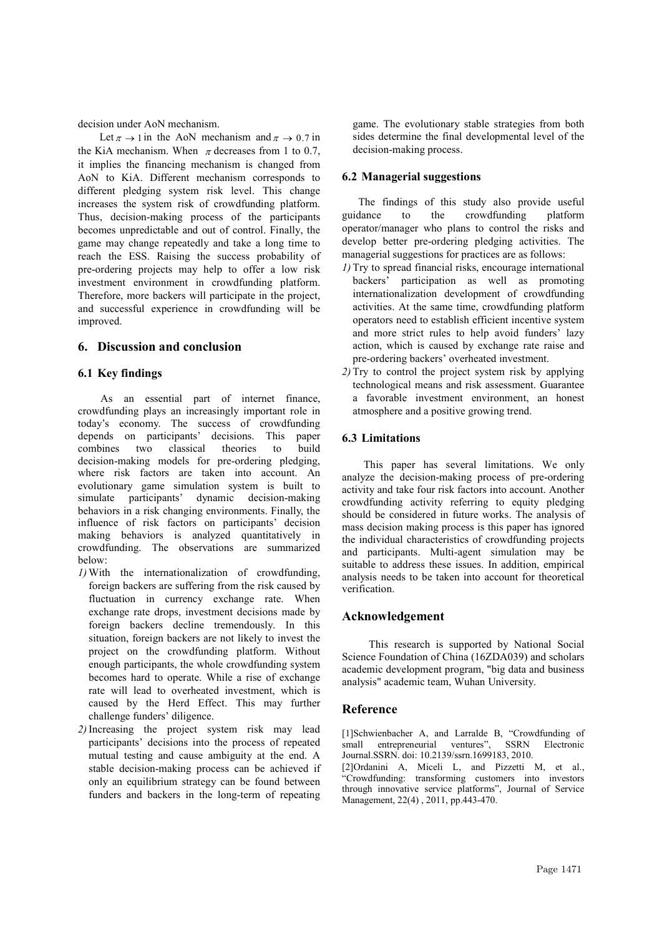decision under AoN mechanism.

Let  $\pi \to 1$  in the AoN mechanism and  $\pi \to 0.7$  in the KiA mechanism. When  $\pi$  decreases from 1 to 0.7, it implies the financing mechanism is changed from AoN to KiA. Different mechanism corresponds to different pledging system risk level. This change increases the system risk of crowdfunding platform. Thus, decision-making process of the participants becomes unpredictable and out of control. Finally, the game may change repeatedly and take a long time to reach the ESS. Raising the success probability of pre-ordering projects may help to offer a low risk investment environment in crowdfunding platform. Therefore, more backers will participate in the project, and successful experience in crowdfunding will be improved.

# **6. Discussion and conclusion**

### **6.1 Key findings**

As an essential part of internet finance, crowdfunding plays an increasingly important role in today's economy. The success of crowdfunding depends on participants' decisions. This paper combines two classical theories to build decision-making models for pre-ordering pledging, where risk factors are taken into account. An evolutionary game simulation system is built to simulate participants' dynamic decision-making behaviors in a risk changing environments. Finally, the influence of risk factors on participants' decision making behaviors is analyzed quantitatively in crowdfunding. The observations are summarized below:

- *1)* With the internationalization of crowdfunding, foreign backers are suffering from the risk caused by fluctuation in currency exchange rate. When exchange rate drops, investment decisions made by foreign backers decline tremendously. In this situation, foreign backers are not likely to invest the project on the crowdfunding platform. Without enough participants, the whole crowdfunding system becomes hard to operate. While a rise of exchange rate will lead to overheated investment, which is caused by the Herd Effect. This may further challenge funders' diligence.
- *2)*Increasing the project system risk may lead participants' decisions into the process of repeated mutual testing and cause ambiguity at the end. A stable decision-making process can be achieved if only an equilibrium strategy can be found between funders and backers in the long-term of repeating

game. The evolutionary stable strategies from both sides determine the final developmental level of the decision-making process.

### **6.2 Managerial suggestions**

The findings of this study also provide useful guidance to the crowdfunding platform operator/manager who plans to control the risks and develop better pre-ordering pledging activities. The managerial suggestions for practices are as follows:

- *1)* Try to spread financial risks, encourage international backers' participation as well as promoting internationalization development of crowdfunding activities. At the same time, crowdfunding platform operators need to establish efficient incentive system and more strict rules to help avoid funders' lazy action, which is caused by exchange rate raise and pre-ordering backers' overheated investment.
- *2)* Try to control the project system risk by applying technological means and risk assessment. Guarantee a favorable investment environment, an honest atmosphere and a positive growing trend.

### **6.3 Limitations**

This paper has several limitations. We only analyze the decision-making process of pre-ordering activity and take four risk factors into account. Another crowdfunding activity referring to equity pledging should be considered in future works. The analysis of mass decision making process is this paper has ignored the individual characteristics of crowdfunding projects and participants. Multi-agent simulation may be suitable to address these issues. In addition, empirical analysis needs to be taken into account for theoretical verification.

# **Acknowledgement**

 This research is supported by National Social Science Foundation of China (16ZDA039) and scholars academic development program, "big data and business analysis" academic team, Wuhan University.

# **Reference**

[1]Schwienbacher A, and Larralde B, "Crowdfunding of small entrepreneurial ventures", SSRN Electronic Journal.SSRN. doi: 10.2139/ssrn.1699183, 2010.

[2]Ordanini A, Miceli L, and Pizzetti M, et al., "Crowdfunding: transforming customers into investors through innovative service platforms", Journal of Service Management, 22(4) , 2011, pp.443-470.